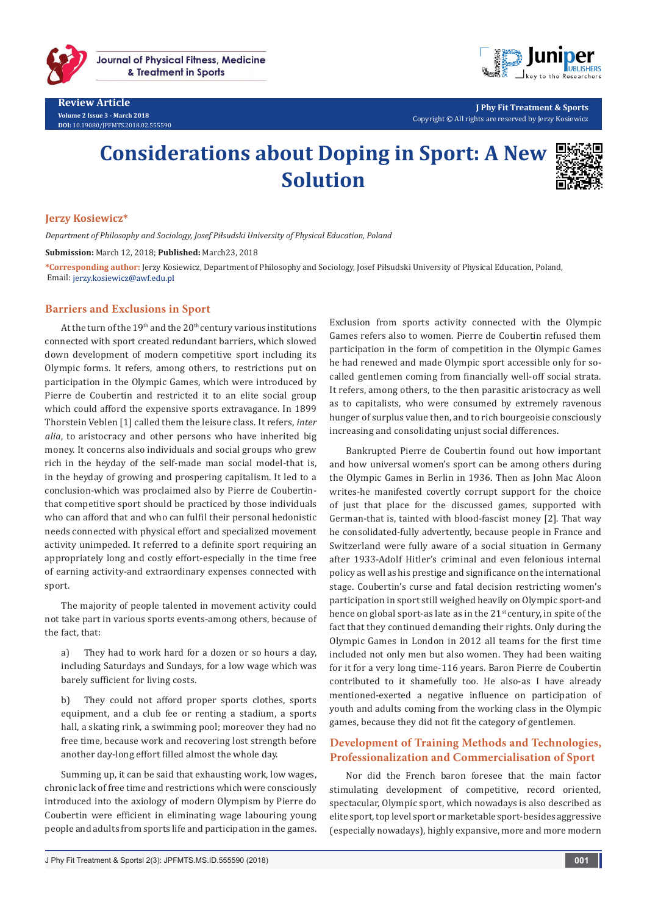

**Review Article Volume 2 Issue 3 - March 2018 DOI:** [10.19080/JPFMTS.2018.02.555590](http://dx.doi.org/10.19080/JPFMTS.2018.02.555590
)



**J Phy Fit Treatment & Sports** Copyright © All rights are reserved by Jerzy Kosiewicz

# **Considerations about Doping in Sport: A New Solution**



### **Jerzy Kosiewicz\***

*Department of Philosophy and Sociology, Josef Piłsudski University of Physical Education, Poland*

**Submission:** March 12, 2018; **Published:** March23, 2018

**\*Corresponding author:** Jerzy Kosiewicz, Department of Philosophy and Sociology, Josef Piłsudski University of Physical Education, Poland, Email: jerzy.kosiewicz@awf.edu.pl

#### **Barriers and Exclusions in Sport**

At the turn of the  $19<sup>th</sup>$  and the  $20<sup>th</sup>$  century various institutions connected with sport created redundant barriers, which slowed down development of modern competitive sport including its Olympic forms. It refers, among others, to restrictions put on participation in the Olympic Games, which were introduced by Pierre de Coubertin and restricted it to an elite social group which could afford the expensive sports extravagance. In 1899 Thorstein Veblen [1] called them the leisure class. It refers, *inter alia*, to aristocracy and other persons who have inherited big money. It concerns also individuals and social groups who grew rich in the heyday of the self-made man social model-that is, in the heyday of growing and prospering capitalism. It led to a conclusion-which was proclaimed also by Pierre de Coubertinthat competitive sport should be practiced by those individuals who can afford that and who can fulfil their personal hedonistic needs connected with physical effort and specialized movement activity unimpeded. It referred to a definite sport requiring an appropriately long and costly effort-especially in the time free of earning activity-and extraordinary expenses connected with sport.

The majority of people talented in movement activity could not take part in various sports events-among others, because of the fact, that:

a) They had to work hard for a dozen or so hours a day, including Saturdays and Sundays, for a low wage which was barely sufficient for living costs.

b) They could not afford proper sports clothes, sports equipment, and a club fee or renting a stadium, a sports hall, a skating rink, a swimming pool; moreover they had no free time, because work and recovering lost strength before another day-long effort filled almost the whole day.

Summing up, it can be said that exhausting work, low wages, chronic lack of free time and restrictions which were consciously introduced into the axiology of modern Olympism by Pierre do Coubertin were efficient in eliminating wage labouring young people and adults from sports life and participation in the games. Exclusion from sports activity connected with the Olympic Games refers also to women. Pierre de Coubertin refused them participation in the form of competition in the Olympic Games he had renewed and made Olympic sport accessible only for socalled gentlemen coming from financially well-off social strata. It refers, among others, to the then parasitic aristocracy as well as to capitalists, who were consumed by extremely ravenous hunger of surplus value then, and to rich bourgeoisie consciously increasing and consolidating unjust social differences.

Bankrupted Pierre de Coubertin found out how important and how universal women's sport can be among others during the Olympic Games in Berlin in 1936. Then as John Mac Aloon writes-he manifested covertly corrupt support for the choice of just that place for the discussed games, supported with German-that is, tainted with blood-fascist money [2]. That way he consolidated-fully advertently, because people in France and Switzerland were fully aware of a social situation in Germany after 1933-Adolf Hitler's criminal and even felonious internal policy as well as his prestige and significance on the international stage. Coubertin's curse and fatal decision restricting women's participation in sport still weighed heavily on Olympic sport-and hence on global sport-as late as in the 21<sup>st</sup> century, in spite of the fact that they continued demanding their rights. Only during the Olympic Games in London in 2012 all teams for the first time included not only men but also women. They had been waiting for it for a very long time-116 years. Baron Pierre de Coubertin contributed to it shamefully too. He also-as I have already mentioned-exerted a negative influence on participation of youth and adults coming from the working class in the Olympic games, because they did not fit the category of gentlemen.

## **Development of Training Methods and Technologies, Professionalization and Commercialisation of Sport**

Nor did the French baron foresee that the main factor stimulating development of competitive, record oriented, spectacular, Olympic sport, which nowadays is also described as elite sport, top level sport or marketable sport-besides aggressive (especially nowadays), highly expansive, more and more modern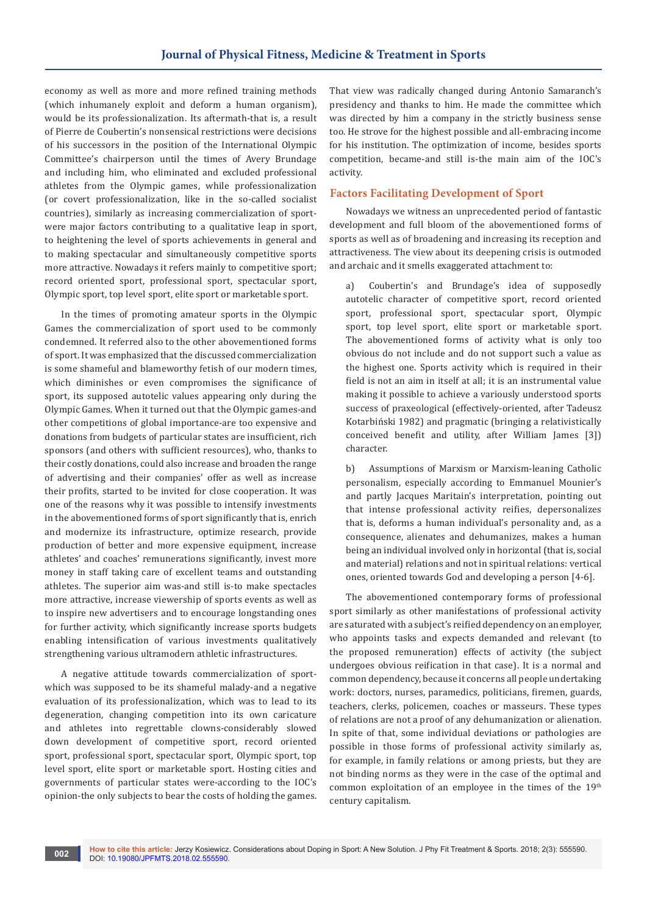economy as well as more and more refined training methods (which inhumanely exploit and deform a human organism), would be its professionalization. Its aftermath-that is, a result of Pierre de Coubertin's nonsensical restrictions were decisions of his successors in the position of the International Olympic Committee's chairperson until the times of Avery Brundage and including him, who eliminated and excluded professional athletes from the Olympic games, while professionalization (or covert professionalization, like in the so-called socialist countries), similarly as increasing commercialization of sportwere major factors contributing to a qualitative leap in sport, to heightening the level of sports achievements in general and to making spectacular and simultaneously competitive sports more attractive. Nowadays it refers mainly to competitive sport; record oriented sport, professional sport, spectacular sport, Olympic sport, top level sport, elite sport or marketable sport.

In the times of promoting amateur sports in the Olympic Games the commercialization of sport used to be commonly condemned. It referred also to the other abovementioned forms of sport. It was emphasized that the discussed commercialization is some shameful and blameworthy fetish of our modern times, which diminishes or even compromises the significance of sport, its supposed autotelic values appearing only during the Olympic Games. When it turned out that the Olympic games-and other competitions of global importance-are too expensive and donations from budgets of particular states are insufficient, rich sponsors (and others with sufficient resources), who, thanks to their costly donations, could also increase and broaden the range of advertising and their companies' offer as well as increase their profits, started to be invited for close cooperation. It was one of the reasons why it was possible to intensify investments in the abovementioned forms of sport significantly that is, enrich and modernize its infrastructure, optimize research, provide production of better and more expensive equipment, increase athletes' and coaches' remunerations significantly, invest more money in staff taking care of excellent teams and outstanding athletes. The superior aim was-and still is-to make spectacles more attractive, increase viewership of sports events as well as to inspire new advertisers and to encourage longstanding ones for further activity, which significantly increase sports budgets enabling intensification of various investments qualitatively strengthening various ultramodern athletic infrastructures.

A negative attitude towards commercialization of sportwhich was supposed to be its shameful malady-and a negative evaluation of its professionalization, which was to lead to its degeneration, changing competition into its own caricature and athletes into regrettable clowns-considerably slowed down development of competitive sport, record oriented sport, professional sport, spectacular sport, Olympic sport, top level sport, elite sport or marketable sport. Hosting cities and governments of particular states were-according to the IOC's opinion-the only subjects to bear the costs of holding the games. That view was radically changed during Antonio Samaranch's presidency and thanks to him. He made the committee which was directed by him a company in the strictly business sense too. He strove for the highest possible and all-embracing income for his institution. The optimization of income, besides sports competition, became-and still is-the main aim of the IOC's activity.

#### **Factors Facilitating Development of Sport**

Nowadays we witness an unprecedented period of fantastic development and full bloom of the abovementioned forms of sports as well as of broadening and increasing its reception and attractiveness. The view about its deepening crisis is outmoded and archaic and it smells exaggerated attachment to:

a) Coubertin's and Brundage's idea of supposedly autotelic character of competitive sport, record oriented sport, professional sport, spectacular sport, Olympic sport, top level sport, elite sport or marketable sport. The abovementioned forms of activity what is only too obvious do not include and do not support such a value as the highest one. Sports activity which is required in their field is not an aim in itself at all; it is an instrumental value making it possible to achieve a variously understood sports success of praxeological (effectively-oriented, after Tadeusz Kotarbiński 1982) and pragmatic (bringing a relativistically conceived benefit and utility, after William James [3]) character.

b) Assumptions of Marxism or Marxism-leaning Catholic personalism, especially according to Emmanuel Mounier's and partly Jacques Maritain's interpretation, pointing out that intense professional activity reifies, depersonalizes that is, deforms a human individual's personality and, as a consequence, alienates and dehumanizes, makes a human being an individual involved only in horizontal (that is, social and material) relations and not in spiritual relations: vertical ones, oriented towards God and developing a person [4-6].

The abovementioned contemporary forms of professional sport similarly as other manifestations of professional activity are saturated with a subject's reified dependency on an employer, who appoints tasks and expects demanded and relevant (to the proposed remuneration) effects of activity (the subject undergoes obvious reification in that case). It is a normal and common dependency, because it concerns all people undertaking work: doctors, nurses, paramedics, politicians, firemen, guards, teachers, clerks, policemen, coaches or masseurs. These types of relations are not a proof of any dehumanization or alienation. In spite of that, some individual deviations or pathologies are possible in those forms of professional activity similarly as, for example, in family relations or among priests, but they are not binding norms as they were in the case of the optimal and common exploitation of an employee in the times of the 19<sup>th</sup> century capitalism.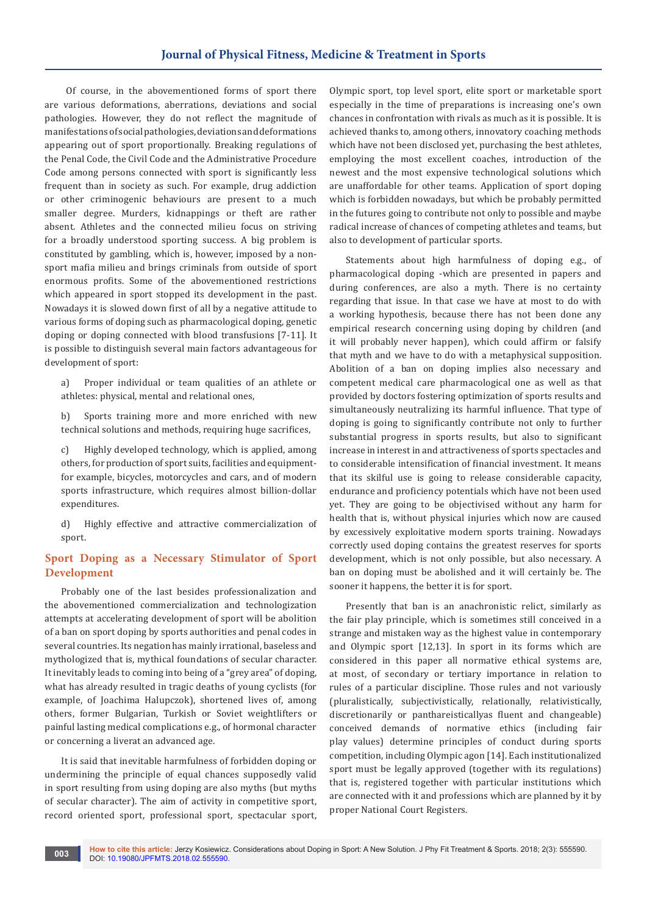## **Journal of Physical Fitness, Medicine & Treatment in Sports**

 Of course, in the abovementioned forms of sport there are various deformations, aberrations, deviations and social pathologies. However, they do not reflect the magnitude of manifestations of social pathologies, deviations and deformations appearing out of sport proportionally. Breaking regulations of the Penal Code, the Civil Code and the Administrative Procedure Code among persons connected with sport is significantly less frequent than in society as such. For example, drug addiction or other criminogenic behaviours are present to a much smaller degree. Murders, kidnappings or theft are rather absent. Athletes and the connected milieu focus on striving for a broadly understood sporting success. A big problem is constituted by gambling, which is, however, imposed by a nonsport mafia milieu and brings criminals from outside of sport enormous profits. Some of the abovementioned restrictions which appeared in sport stopped its development in the past. Nowadays it is slowed down first of all by a negative attitude to various forms of doping such as pharmacological doping, genetic doping or doping connected with blood transfusions [7-11]. It is possible to distinguish several main factors advantageous for development of sport:

a) Proper individual or team qualities of an athlete or athletes: physical, mental and relational ones,

b) Sports training more and more enriched with new technical solutions and methods, requiring huge sacrifices,

c) Highly developed technology, which is applied, among others, for production of sport suits, facilities and equipmentfor example, bicycles, motorcycles and cars, and of modern sports infrastructure, which requires almost billion-dollar expenditures.

d) Highly effective and attractive commercialization of sport.

## **Sport Doping as a Necessary Stimulator of Sport Development**

Probably one of the last besides professionalization and the abovementioned commercialization and technologization attempts at accelerating development of sport will be abolition of a ban on sport doping by sports authorities and penal codes in several countries. Its negation has mainly irrational, baseless and mythologized that is, mythical foundations of secular character. It inevitably leads to coming into being of a "grey area" of doping, what has already resulted in tragic deaths of young cyclists (for example, of Joachima Halupczok), shortened lives of, among others, former Bulgarian, Turkish or Soviet weightlifters or painful lasting medical complications e.g., of hormonal character or concerning a liverat an advanced age.

It is said that inevitable harmfulness of forbidden doping or undermining the principle of equal chances supposedly valid in sport resulting from using doping are also myths (but myths of secular character). The aim of activity in competitive sport, record oriented sport, professional sport, spectacular sport,

Olympic sport, top level sport, elite sport or marketable sport especially in the time of preparations is increasing one's own chances in confrontation with rivals as much as it is possible. It is achieved thanks to, among others, innovatory coaching methods which have not been disclosed yet, purchasing the best athletes, employing the most excellent coaches, introduction of the newest and the most expensive technological solutions which are unaffordable for other teams. Application of sport doping which is forbidden nowadays, but which be probably permitted in the futures going to contribute not only to possible and maybe radical increase of chances of competing athletes and teams, but also to development of particular sports.

Statements about high harmfulness of doping e.g., of pharmacological doping -which are presented in papers and during conferences, are also a myth. There is no certainty regarding that issue. In that case we have at most to do with a working hypothesis, because there has not been done any empirical research concerning using doping by children (and it will probably never happen), which could affirm or falsify that myth and we have to do with a metaphysical supposition. Abolition of a ban on doping implies also necessary and competent medical care pharmacological one as well as that provided by doctors fostering optimization of sports results and simultaneously neutralizing its harmful influence. That type of doping is going to significantly contribute not only to further substantial progress in sports results, but also to significant increase in interest in and attractiveness of sports spectacles and to considerable intensification of financial investment. It means that its skilful use is going to release considerable capacity, endurance and proficiency potentials which have not been used yet. They are going to be objectivised without any harm for health that is, without physical injuries which now are caused by excessively exploitative modern sports training. Nowadays correctly used doping contains the greatest reserves for sports development, which is not only possible, but also necessary. A ban on doping must be abolished and it will certainly be. The sooner it happens, the better it is for sport.

Presently that ban is an anachronistic relict, similarly as the fair play principle, which is sometimes still conceived in a strange and mistaken way as the highest value in contemporary and Olympic sport [12,13]. In sport in its forms which are considered in this paper all normative ethical systems are, at most, of secondary or tertiary importance in relation to rules of a particular discipline. Those rules and not variously (pluralistically, subjectivistically, relationally, relativistically, discretionarily or panthareisticallyas fluent and changeable) conceived demands of normative ethics (including fair play values) determine principles of conduct during sports competition, including Olympic agon [14]. Each institutionalized sport must be legally approved (together with its regulations) that is, registered together with particular institutions which are connected with it and professions which are planned by it by proper National Court Registers.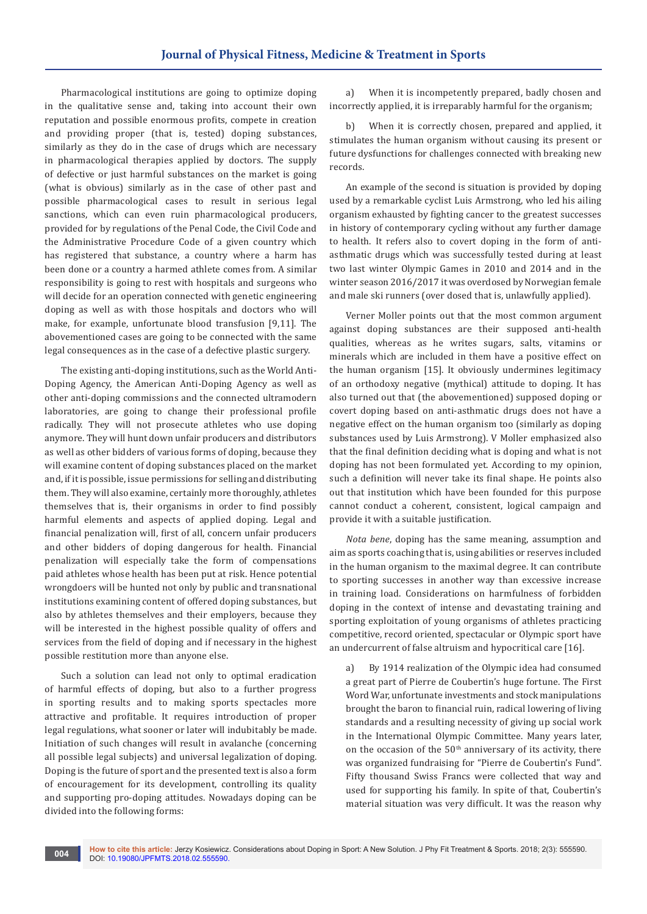Pharmacological institutions are going to optimize doping in the qualitative sense and, taking into account their own reputation and possible enormous profits, compete in creation and providing proper (that is, tested) doping substances, similarly as they do in the case of drugs which are necessary in pharmacological therapies applied by doctors. The supply of defective or just harmful substances on the market is going (what is obvious) similarly as in the case of other past and possible pharmacological cases to result in serious legal sanctions, which can even ruin pharmacological producers, provided for by regulations of the Penal Code, the Civil Code and the Administrative Procedure Code of a given country which has registered that substance, a country where a harm has been done or a country a harmed athlete comes from. A similar responsibility is going to rest with hospitals and surgeons who will decide for an operation connected with genetic engineering doping as well as with those hospitals and doctors who will make, for example, unfortunate blood transfusion [9,11]. The abovementioned cases are going to be connected with the same legal consequences as in the case of a defective plastic surgery.

The existing anti-doping institutions, such as the World Anti-Doping Agency, the American Anti-Doping Agency as well as other anti-doping commissions and the connected ultramodern laboratories, are going to change their professional profile radically. They will not prosecute athletes who use doping anymore. They will hunt down unfair producers and distributors as well as other bidders of various forms of doping, because they will examine content of doping substances placed on the market and, if it is possible, issue permissions for selling and distributing them. They will also examine, certainly more thoroughly, athletes themselves that is, their organisms in order to find possibly harmful elements and aspects of applied doping. Legal and financial penalization will, first of all, concern unfair producers and other bidders of doping dangerous for health. Financial penalization will especially take the form of compensations paid athletes whose health has been put at risk. Hence potential wrongdoers will be hunted not only by public and transnational institutions examining content of offered doping substances, but also by athletes themselves and their employers, because they will be interested in the highest possible quality of offers and services from the field of doping and if necessary in the highest possible restitution more than anyone else.

Such a solution can lead not only to optimal eradication of harmful effects of doping, but also to a further progress in sporting results and to making sports spectacles more attractive and profitable. It requires introduction of proper legal regulations, what sooner or later will indubitably be made. Initiation of such changes will result in avalanche (concerning all possible legal subjects) and universal legalization of doping. Doping is the future of sport and the presented text is also a form of encouragement for its development, controlling its quality and supporting pro-doping attitudes. Nowadays doping can be divided into the following forms:

a) When it is incompetently prepared, badly chosen and incorrectly applied, it is irreparably harmful for the organism;

b) When it is correctly chosen, prepared and applied, it stimulates the human organism without causing its present or future dysfunctions for challenges connected with breaking new records.

An example of the second is situation is provided by doping used by a remarkable cyclist Luis Armstrong, who led his ailing organism exhausted by fighting cancer to the greatest successes in history of contemporary cycling without any further damage to health. It refers also to covert doping in the form of antiasthmatic drugs which was successfully tested during at least two last winter Olympic Games in 2010 and 2014 and in the winter season 2016/2017 it was overdosed by Norwegian female and male ski runners (over dosed that is, unlawfully applied).

Verner Moller points out that the most common argument against doping substances are their supposed anti-health qualities, whereas as he writes sugars, salts, vitamins or minerals which are included in them have a positive effect on the human organism [15]. It obviously undermines legitimacy of an orthodoxy negative (mythical) attitude to doping. It has also turned out that (the abovementioned) supposed doping or covert doping based on anti-asthmatic drugs does not have a negative effect on the human organism too (similarly as doping substances used by Luis Armstrong). V Moller emphasized also that the final definition deciding what is doping and what is not doping has not been formulated yet. According to my opinion, such a definition will never take its final shape. He points also out that institution which have been founded for this purpose cannot conduct a coherent, consistent, logical campaign and provide it with a suitable justification.

*Nota bene*, doping has the same meaning, assumption and aim as sports coaching that is, using abilities or reserves included in the human organism to the maximal degree. It can contribute to sporting successes in another way than excessive increase in training load. Considerations on harmfulness of forbidden doping in the context of intense and devastating training and sporting exploitation of young organisms of athletes practicing competitive, record oriented, spectacular or Olympic sport have an undercurrent of false altruism and hypocritical care [16].

a) By 1914 realization of the Olympic idea had consumed a great part of Pierre de Coubertin's huge fortune. The First Word War, unfortunate investments and stock manipulations brought the baron to financial ruin, radical lowering of living standards and a resulting necessity of giving up social work in the International Olympic Committee. Many years later, on the occasion of the  $50<sup>th</sup>$  anniversary of its activity, there was organized fundraising for "Pierre de Coubertin's Fund". Fifty thousand Swiss Francs were collected that way and used for supporting his family. In spite of that, Coubertin's material situation was very difficult. It was the reason why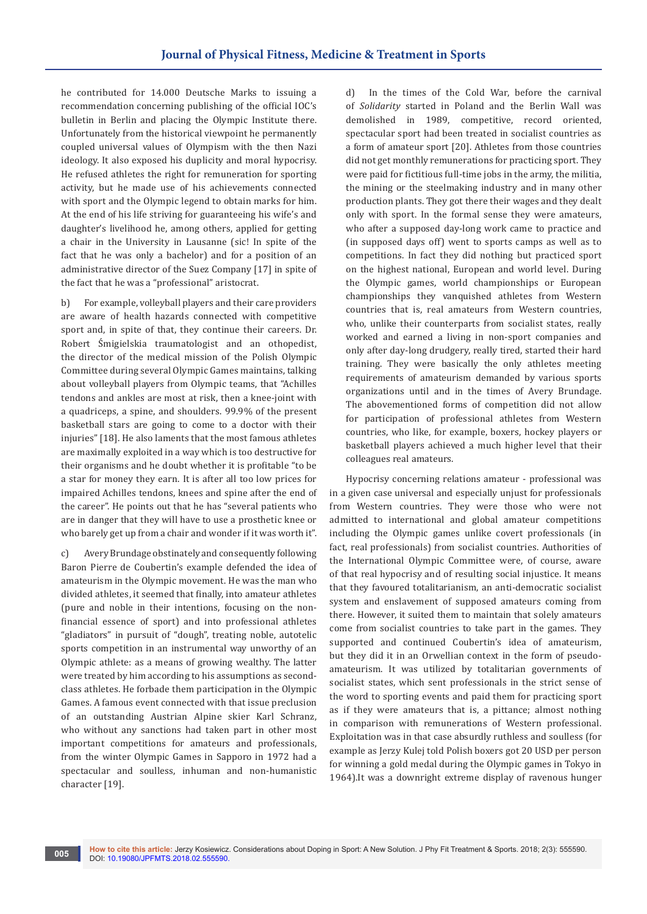he contributed for 14.000 Deutsche Marks to issuing a recommendation concerning publishing of the official IOC's bulletin in Berlin and placing the Olympic Institute there. Unfortunately from the historical viewpoint he permanently coupled universal values of Olympism with the then Nazi ideology. It also exposed his duplicity and moral hypocrisy. He refused athletes the right for remuneration for sporting activity, but he made use of his achievements connected with sport and the Olympic legend to obtain marks for him. At the end of his life striving for guaranteeing his wife's and daughter's livelihood he, among others, applied for getting a chair in the University in Lausanne (sic! In spite of the fact that he was only a bachelor) and for a position of an administrative director of the Suez Company [17] in spite of the fact that he was a "professional" aristocrat.

b) For example, volleyball players and their care providers are aware of health hazards connected with competitive sport and, in spite of that, they continue their careers. Dr. Robert Śmigielskia traumatologist and an othopedist, the director of the medical mission of the Polish Olympic Committee during several Olympic Games maintains, talking about volleyball players from Olympic teams, that "Achilles tendons and ankles are most at risk, then a knee-joint with a quadriceps, a spine, and shoulders. 99.9% of the present basketball stars are going to come to a doctor with their injuries" [18]. He also laments that the most famous athletes are maximally exploited in a way which is too destructive for their organisms and he doubt whether it is profitable "to be a star for money they earn. It is after all too low prices for impaired Achilles tendons, knees and spine after the end of the career". He points out that he has "several patients who are in danger that they will have to use a prosthetic knee or who barely get up from a chair and wonder if it was worth it".

c) Avery Brundage obstinately and consequently following Baron Pierre de Coubertin's example defended the idea of amateurism in the Olympic movement. He was the man who divided athletes, it seemed that finally, into amateur athletes (pure and noble in their intentions, focusing on the nonfinancial essence of sport) and into professional athletes "gladiators" in pursuit of "dough", treating noble, autotelic sports competition in an instrumental way unworthy of an Olympic athlete: as a means of growing wealthy. The latter were treated by him according to his assumptions as secondclass athletes. He forbade them participation in the Olympic Games. A famous event connected with that issue preclusion of an outstanding Austrian Alpine skier Karl Schranz, who without any sanctions had taken part in other most important competitions for amateurs and professionals, from the winter Olympic Games in Sapporo in 1972 had a spectacular and soulless, inhuman and non-humanistic character [19].

d) In the times of the Cold War, before the carnival of *Solidarity* started in Poland and the Berlin Wall was demolished in 1989, competitive, record oriented, spectacular sport had been treated in socialist countries as a form of amateur sport [20]. Athletes from those countries did not get monthly remunerations for practicing sport. They were paid for fictitious full-time jobs in the army, the militia, the mining or the steelmaking industry and in many other production plants. They got there their wages and they dealt only with sport. In the formal sense they were amateurs, who after a supposed day-long work came to practice and (in supposed days off) went to sports camps as well as to competitions. In fact they did nothing but practiced sport on the highest national, European and world level. During the Olympic games, world championships or European championships they vanquished athletes from Western countries that is, real amateurs from Western countries, who, unlike their counterparts from socialist states, really worked and earned a living in non-sport companies and only after day-long drudgery, really tired, started their hard training. They were basically the only athletes meeting requirements of amateurism demanded by various sports organizations until and in the times of Avery Brundage. The abovementioned forms of competition did not allow for participation of professional athletes from Western countries, who like, for example, boxers, hockey players or basketball players achieved a much higher level that their colleagues real amateurs.

Hypocrisy concerning relations amateur - professional was in a given case universal and especially unjust for professionals from Western countries. They were those who were not admitted to international and global amateur competitions including the Olympic games unlike covert professionals (in fact, real professionals) from socialist countries. Authorities of the International Olympic Committee were, of course, aware of that real hypocrisy and of resulting social injustice. It means that they favoured totalitarianism, an anti-democratic socialist system and enslavement of supposed amateurs coming from there. However, it suited them to maintain that solely amateurs come from socialist countries to take part in the games. They supported and continued Coubertin's idea of amateurism, but they did it in an Orwellian context in the form of pseudoamateurism. It was utilized by totalitarian governments of socialist states, which sent professionals in the strict sense of the word to sporting events and paid them for practicing sport as if they were amateurs that is, a pittance; almost nothing in comparison with remunerations of Western professional. Exploitation was in that case absurdly ruthless and soulless (for example as Jerzy Kulej told Polish boxers got 20 USD per person for winning a gold medal during the Olympic games in Tokyo in 1964).It was a downright extreme display of ravenous hunger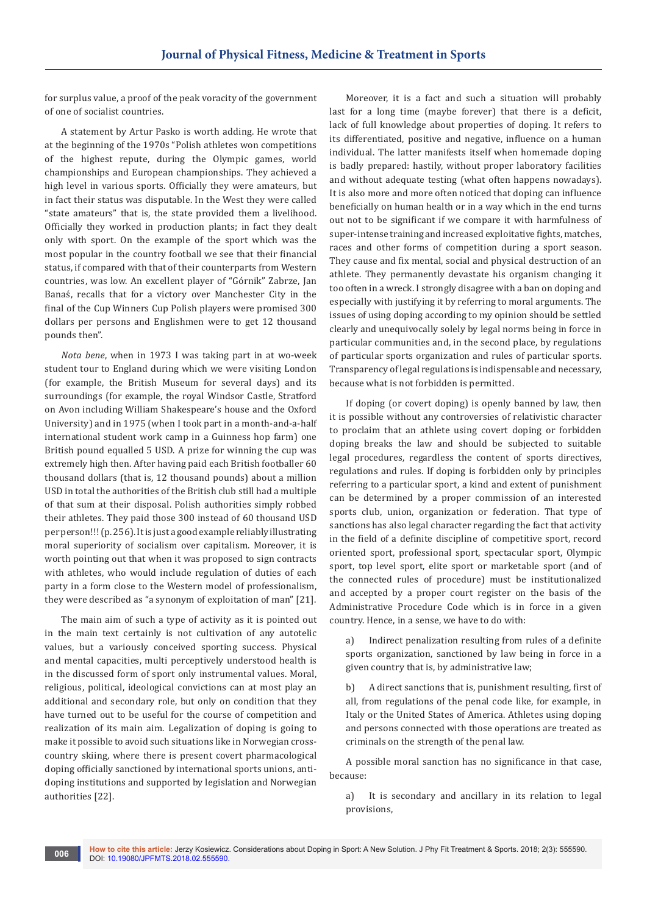for surplus value, a proof of the peak voracity of the government of one of socialist countries.

A statement by Artur Pasko is worth adding. He wrote that at the beginning of the 1970s "Polish athletes won competitions of the highest repute, during the Olympic games, world championships and European championships. They achieved a high level in various sports. Officially they were amateurs, but in fact their status was disputable. In the West they were called "state amateurs" that is, the state provided them a livelihood. Officially they worked in production plants; in fact they dealt only with sport. On the example of the sport which was the most popular in the country football we see that their financial status, if compared with that of their counterparts from Western countries, was low. An excellent player of "Górnik" Zabrze, Jan Banaś, recalls that for a victory over Manchester City in the final of the Cup Winners Cup Polish players were promised 300 dollars per persons and Englishmen were to get 12 thousand pounds then".

*Nota bene*, when in 1973 I was taking part in at wo-week student tour to England during which we were visiting London (for example, the British Museum for several days) and its surroundings (for example, the royal Windsor Castle, Stratford on Avon including William Shakespeare's house and the Oxford University) and in 1975 (when I took part in a month-and-a-half international student work camp in a Guinness hop farm) one British pound equalled 5 USD. A prize for winning the cup was extremely high then. After having paid each British footballer 60 thousand dollars (that is, 12 thousand pounds) about a million USD in total the authorities of the British club still had a multiple of that sum at their disposal. Polish authorities simply robbed their athletes. They paid those 300 instead of 60 thousand USD per person!!! (p. 256). It is just a good example reliably illustrating moral superiority of socialism over capitalism. Moreover, it is worth pointing out that when it was proposed to sign contracts with athletes, who would include regulation of duties of each party in a form close to the Western model of professionalism, they were described as "a synonym of exploitation of man" [21].

The main aim of such a type of activity as it is pointed out in the main text certainly is not cultivation of any autotelic values, but a variously conceived sporting success. Physical and mental capacities, multi perceptively understood health is in the discussed form of sport only instrumental values. Moral, religious, political, ideological convictions can at most play an additional and secondary role, but only on condition that they have turned out to be useful for the course of competition and realization of its main aim. Legalization of doping is going to make it possible to avoid such situations like in Norwegian crosscountry skiing, where there is present covert pharmacological doping officially sanctioned by international sports unions, antidoping institutions and supported by legislation and Norwegian authorities [22].

Moreover, it is a fact and such a situation will probably last for a long time (maybe forever) that there is a deficit, lack of full knowledge about properties of doping. It refers to its differentiated, positive and negative, influence on a human individual. The latter manifests itself when homemade doping is badly prepared: hastily, without proper laboratory facilities and without adequate testing (what often happens nowadays). It is also more and more often noticed that doping can influence beneficially on human health or in a way which in the end turns out not to be significant if we compare it with harmfulness of super-intense training and increased exploitative fights, matches, races and other forms of competition during a sport season. They cause and fix mental, social and physical destruction of an athlete. They permanently devastate his organism changing it too often in a wreck. I strongly disagree with a ban on doping and especially with justifying it by referring to moral arguments. The issues of using doping according to my opinion should be settled clearly and unequivocally solely by legal norms being in force in particular communities and, in the second place, by regulations of particular sports organization and rules of particular sports. Transparency of legal regulations is indispensable and necessary, because what is not forbidden is permitted.

If doping (or covert doping) is openly banned by law, then it is possible without any controversies of relativistic character to proclaim that an athlete using covert doping or forbidden doping breaks the law and should be subjected to suitable legal procedures, regardless the content of sports directives, regulations and rules. If doping is forbidden only by principles referring to a particular sport, a kind and extent of punishment can be determined by a proper commission of an interested sports club, union, organization or federation. That type of sanctions has also legal character regarding the fact that activity in the field of a definite discipline of competitive sport, record oriented sport, professional sport, spectacular sport, Olympic sport, top level sport, elite sport or marketable sport (and of the connected rules of procedure) must be institutionalized and accepted by a proper court register on the basis of the Administrative Procedure Code which is in force in a given country. Hence, in a sense, we have to do with:

a) Indirect penalization resulting from rules of a definite sports organization, sanctioned by law being in force in a given country that is, by administrative law;

b) A direct sanctions that is, punishment resulting, first of all, from regulations of the penal code like, for example, in Italy or the United States of America. Athletes using doping and persons connected with those operations are treated as criminals on the strength of the penal law.

A possible moral sanction has no significance in that case, because:

a) It is secondary and ancillary in its relation to legal provisions,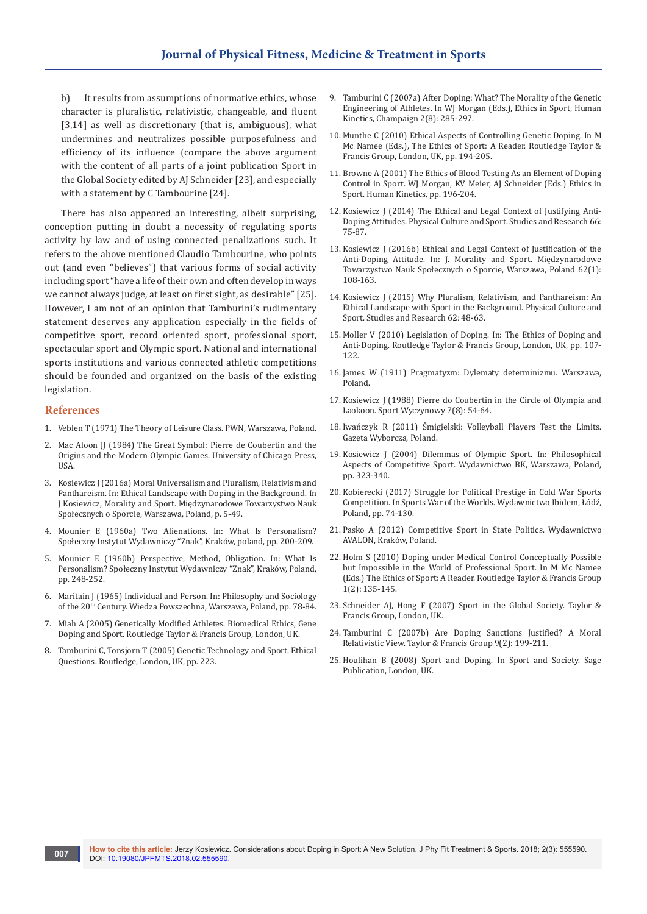b) It results from assumptions of normative ethics, whose character is pluralistic, relativistic, changeable, and fluent [3,14] as well as discretionary (that is, ambiguous), what undermines and neutralizes possible purposefulness and efficiency of its influence (compare the above argument with the content of all parts of a joint publication Sport in the Global Society edited by AJ Schneider [23], and especially with a statement by C Tambourine [24].

There has also appeared an interesting, albeit surprising, conception putting in doubt a necessity of regulating sports activity by law and of using connected penalizations such. It refers to the above mentioned Claudio Tambourine, who points out (and even "believes") that various forms of social activity including sport "have a life of their own and often develop in ways we cannot always judge, at least on first sight, as desirable" [25]. However, I am not of an opinion that Tamburini's rudimentary statement deserves any application especially in the fields of competitive sport, record oriented sport, professional sport, spectacular sport and Olympic sport. National and international sports institutions and various connected athletic competitions should be founded and organized on the basis of the existing legislation.

#### **References**

- 1. [Veblen T \(1971\) The Theory of Leisure Class. PWN, Warszawa, Poland.](https://www.gutenberg.org/files/833/833-h/833-h.htm)
- 2. Mac Aloon JJ (1984) The Great Symbol: Pierre de Coubertin and the Origins and the Modern Olympic Games. University of Chicago Press, USA.
- 3. Kosiewicz J (2016a) Moral Universalism and Pluralism, Relativism and Panthareism. In: Ethical Landscape with Doping in the Background. In J Kosiewicz, Morality and Sport. Międzynarodowe Towarzystwo Nauk Społecznych o Sporcie, Warszawa, Poland, p. 5-49.
- 4. Mounier E (1960a) Two Alienations. In: What Is Personalism? Społeczny Instytut Wydawniczy "Znak", Kraków, poland, pp. 200-209.
- 5. Mounier E (1960b) Perspective, Method, Obligation. In: What Is Personalism? Społeczny Instytut Wydawniczy "Znak", Kraków, Poland, pp. 248-252.
- 6. Maritain J (1965) Individual and Person. In: Philosophy and Sociology of the 20<sup>th</sup> Century. Wiedza Powszechna, Warszawa, Poland, pp. 78-84.
- 7. Miah A (2005) Genetically Modified Athletes. Biomedical Ethics, Gene Doping and Sport. Routledge Taylor & Francis Group, London, UK.
- 8. [Tamburini C, Tonsjorn T \(2005\) Genetic Technology and Sport. Ethical](http://find.lib.uts.edu.au/;jsessionid=8FA396AA7B183D2E133D16D213E5AC33?R=OPAC_b2270235)  [Questions. Routledge, London, UK, pp. 223.](http://find.lib.uts.edu.au/;jsessionid=8FA396AA7B183D2E133D16D213E5AC33?R=OPAC_b2270235)
- 9. [Tamburini C \(2007a\) After Doping: What? The Morality of the Genetic](https://www.cabdirect.org/cabdirect/abstract/20073163452)  [Engineering of Athletes. In WJ Morgan \(Eds.\), Ethics in Sport, Human](https://www.cabdirect.org/cabdirect/abstract/20073163452)  [Kinetics, Champaign 2\(8\): 285-297.](https://www.cabdirect.org/cabdirect/abstract/20073163452)
- 10. [Munthe C \(2010\) Ethical Aspects of Controlling Genetic Doping. In M](https://www.taylorfrancis.com/books/e/9781134293414/chapters/10.4324%2F9780203481646-18)  [Mc Namee \(Eds.\), The Ethics of Sport: A Reader. Routledge Taylor &](https://www.taylorfrancis.com/books/e/9781134293414/chapters/10.4324%2F9780203481646-18)  [Francis Group, London, UK, pp. 194-205.](https://www.taylorfrancis.com/books/e/9781134293414/chapters/10.4324%2F9780203481646-18)
- 11. Browne A (2001) The Ethics of Blood Testing As an Element of Doping Control in Sport. WJ Morgan, KV Meier, AJ Schneider (Eds.) Ethics in Sport. Human Kinetics, pp. 196-204.
- 12. [Kosiewicz J \(2014\) The Ethical and Legal Context of Justifying Anti-](https://www.researchgate.net/publication/286145082_The_Ethical_and_Legal_Context_of_Justifying_Anti-Doping_Attitudes)[Doping Attitudes. Physical Culture and Sport. Studies and Research 66:](https://www.researchgate.net/publication/286145082_The_Ethical_and_Legal_Context_of_Justifying_Anti-Doping_Attitudes)  [75-87.](https://www.researchgate.net/publication/286145082_The_Ethical_and_Legal_Context_of_Justifying_Anti-Doping_Attitudes)
- 13. Kosiewicz J (2016b) [Ethical and Legal Context of Justification of the](https://www.degruyter.com/view/j/pcssr.2014.62.issue-1/pcssr-2014-0011/pcssr-2014-0011.xml)  [Anti-Doping Attitude. In: J. Morality and Sport. Mię](https://www.degruyter.com/view/j/pcssr.2014.62.issue-1/pcssr-2014-0011/pcssr-2014-0011.xml)dzynarodowe [Towarzystwo Nauk Społecznych o Sporcie, Warszawa, Poland 62\(1\):](https://www.degruyter.com/view/j/pcssr.2014.62.issue-1/pcssr-2014-0011/pcssr-2014-0011.xml)  [108-163.](https://www.degruyter.com/view/j/pcssr.2014.62.issue-1/pcssr-2014-0011/pcssr-2014-0011.xml)
- 14. [Kosiewicz J \(2015\) Why Pluralism, Relativism, and Panthareism: An](https://www.researchgate.net/publication/282628186_Why_Pluralism_Relativism_and_Panthareism_An_Ethical_Landscape_with_Sport_in_the_Background)  [Ethical Landscape with Sport in the Background.](https://www.researchgate.net/publication/282628186_Why_Pluralism_Relativism_and_Panthareism_An_Ethical_Landscape_with_Sport_in_the_Background) Physical Culture and [Sport. Studies and Research 62: 48-63.](https://www.researchgate.net/publication/282628186_Why_Pluralism_Relativism_and_Panthareism_An_Ethical_Landscape_with_Sport_in_the_Background)
- 15. Moller V (2010) Legislation of Doping. In: The Ethics of Doping and Anti-Doping. Routledge Taylor & Francis Group, London, UK, pp. 107- 122.
- 16. James W (1911) Pragmatyzm: Dylematy determinizmu. Warszawa, Poland.
- 17. Kosiewicz J (1988) Pierre do Coubertin in the Circle of Olympia and Laokoon. Sport Wyczynowy 7(8): 54-64.
- 18. Iwańczyk R (2011) Śmigielski: Volleyball Players Test the Limits. Gazeta Wyborcza, Poland.
- 19. Kosiewicz J (2004) Dilemmas of Olympic Sport. In: Philosophical Aspects of Competitive Sport. Wydawnictwo BK, Warszawa, Poland, pp. 323-340.
- 20. Kobierecki (2017) Struggle for Political Prestige in Cold War Sports Competition. In Sports War of the Worlds. Wydawnictwo Ibidem, Łódź, Poland, pp. 74-130.
- 21. Pasko A (2012) Competitive Sport in State Politics. Wydawnictwo AVALON, Kraków, Poland.
- 22. [Holm S \(2010\) Doping under Medical Control Conceptually Possible](https://philpapers.org/rec/HOLDUM)  [but Impossible in the World of Professional Sport. In M Mc Namee](https://philpapers.org/rec/HOLDUM)  [\(Eds.\) The Ethics of Sport: A Reader. Routledge Taylor & Francis Group](https://philpapers.org/rec/HOLDUM)  [1\(2\): 135-145.](https://philpapers.org/rec/HOLDUM)
- 23. Schneider AJ, Hong F (2007) Sport in the Global Society. Taylor & Francis Group, London, UK.
- 24. [Tamburini C \(2007b\) Are Doping Sanctions Justified? A Moral](https://shu.rl.talis.com/items/EACDA404-CCA0-9140-77B3-0501E739F82C.html)  [Relativistic View. Taylor & Francis Group 9\(2\): 199-211.](https://shu.rl.talis.com/items/EACDA404-CCA0-9140-77B3-0501E739F82C.html)
- 25. Houlihan B (2008) Sport and Doping. In Sport and Society. Sage Publication, London, UK.